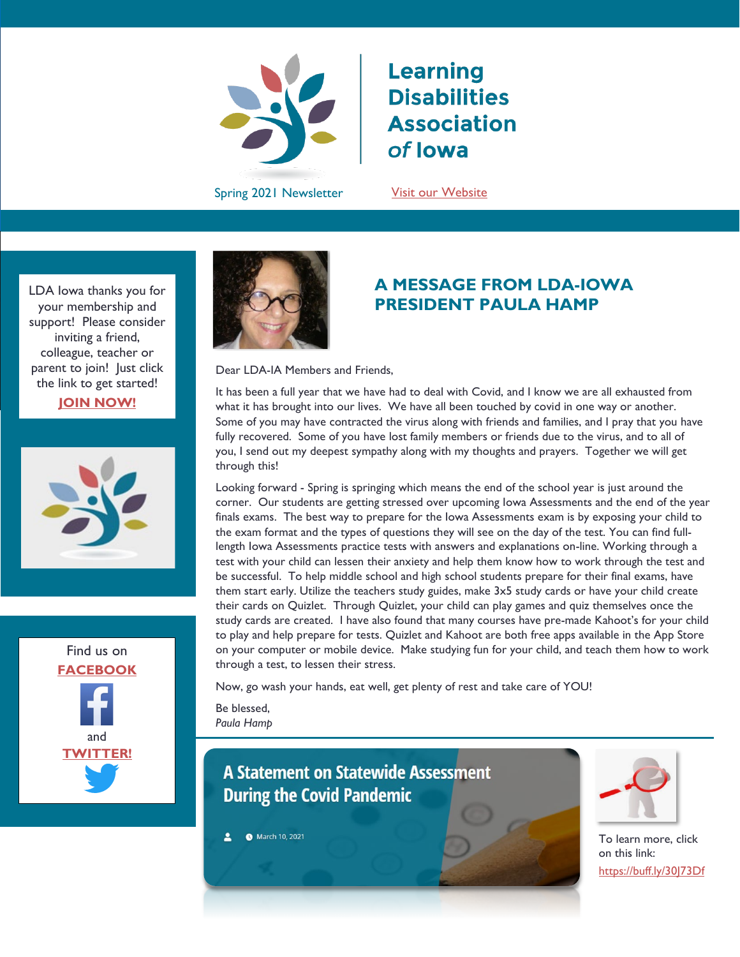

# **Learning Disabilities Association** of lowa

Spring 2021 Newsletter Suit our Website

LDA Iowa thanks you for your membership and support! Please consider inviting a friend, colleague, teacher or parent to join! Just click the link to get started! **[JOIN NOW!](https://ldaiowa.org/membership/)**







## **A MESSAGE FROM LDA-IOWA PRESIDENT PAULA HAMP**

Dear LDA-IA Members and Friends,

It has been a full year that we have had to deal with Covid, and I know we are all exhausted from what it has brought into our lives. We have all been touched by covid in one way or another. Some of you may have contracted the virus along with friends and families, and I pray that you have fully recovered. Some of you have lost family members or friends due to the virus, and to all of you, I send out my deepest sympathy along with my thoughts and prayers. Together we will get through this!

Looking forward - Spring is springing which means the end of the school year is just around the corner. Our students are getting stressed over upcoming Iowa Assessments and the end of the year finals exams. The best way to prepare for the Iowa Assessments exam is by exposing your child to the exam format and the types of questions they will see on the day of the test. You can find fulllength Iowa Assessments practice tests with answers and explanations on-line. Working through a test with your child can lessen their anxiety and help them know how to work through the test and be successful. To help middle school and high school students prepare for their final exams, have them start early. Utilize the teachers study guides, make 3x5 study cards or have your child create their cards on Quizlet. Through Quizlet, your child can play games and quiz themselves once the study cards are created. I have also found that many courses have pre-made Kahoot's for your child to play and help prepare for tests. Quizlet and Kahoot are both free apps available in the App Store on your computer or mobile device. Make studying fun for your child, and teach them how to work through a test, to lessen their stress.

Now, go wash your hands, eat well, get plenty of rest and take care of YOU!

Be blessed, *Paula Hamp*

## **A Statement on Statewide Assessment During the Covid Pandemic**

March 10, 2021  $\overline{\mathbf{z}}$ 



To learn more, click on this link: <https://buff.ly/30J73Df>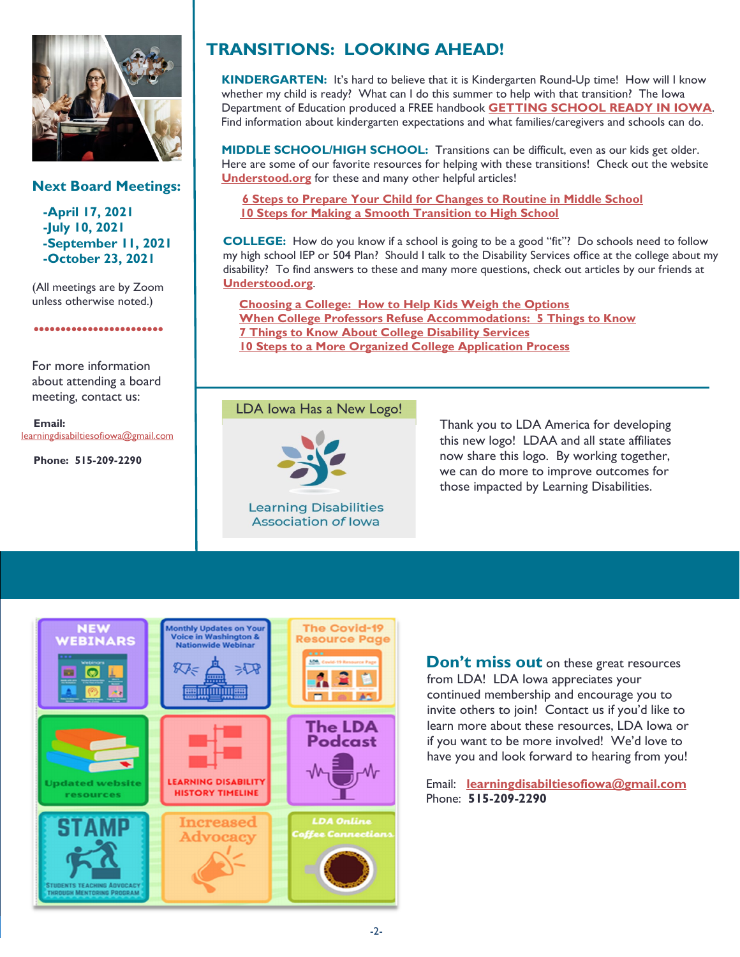

#### **Next Board Meetings:**

**-April 17, 2021 -July 10, 2021 -September 11, 2021 -October 23, 2021**

(All meetings are by Zoom unless otherwise noted.)

.......................

For more information about attending a board

 **Email:**  [learningdisabiltiesofiowa@gmail.com](mailto:learningdisabiltiesofiowa@gmail.com)

 **Phone: 515-209-2290**

meeting, contact us:

# **TRANSITIONS: LOOKING AHEAD!**

**KINDERGARTEN:** It's hard to believe that it is Kindergarten Round-Up time! How will I know whether my child is ready? What can I do this summer to help with that transition? The Iowa Department of Education produced a FREE handbook **[GETTING SCHOOL READY IN IOWA](https://idph.iowa.gov/Portals/1/userfiles/142/readiness%20brochure%20FINAL.pdf)**. Find information about kindergarten expectations and what families/caregivers and schools can do.

**MIDDLE SCHOOL/HIGH SCHOOL:** Transitions can be difficult, even as our kids get older. Here are some of our favorite resources for helping with these transitions! Check out the website **[Understood.org](http://www.understood.org/)** for these and many other helpful articles!

**[6 Steps to Prepare Your Child for Changes to Routine in Middle School](https://www.understood.org/en/school-learning/choosing-starting-school/moving-up/6-steps-to-prepare-your-child-for-changes-to-routine-in-middle-school) [10 Steps for Making a Smooth Transition to High School](https://www.understood.org/en/school-learning/choosing-starting-school/moving-up/10-steps-for-creating-a-smooth-transition-to-high-school)**

**COLLEGE:** How do you know if a school is going to be a good "fit"? Do schools need to follow my high school IEP or 504 Plan? Should I talk to the Disability Services office at the college about my disability? To find answers to these and many more questions, check out articles by our friends at **[Understood.org](http://www.understood.org/)**.

 **[Choosing a College: How to Help Kids Weigh the Options](https://www.understood.org/en/school-learning/choosing-starting-school/leaving-high-school/how-to-choose-a-college-for-students-with-learning-disabilities) [When College Professors Refuse Accommodations: 5 Things to Know](https://www.understood.org/en/school-learning/choosing-starting-school/leaving-high-school/when-college-professors-refuse-accommodations-5-things-to-know) [7 Things to Know About College Disability Services](https://www.understood.org/en/school-learning/choosing-starting-school/leaving-high-school/7-things-to-know-about-college-disability-services) [10 Steps to a More Organized College Application Process](https://www.understood.org/en/school-learning/choosing-starting-school/leaving-high-school/10-steps-to-a-more-organized-college-application-process)**

#### LDA Iowa Has a New Logo!



**Learning Disabilities Association of Iowa** 

Thank you to LDA America for developing this new logo! LDAA and all state affiliates now share this logo. By working together, we can do more to improve outcomes for those impacted by Learning Disabilities.



ŀ

**Don't miss out** on these great resources from LDA! LDA Iowa appreciates your continued membership and encourage you to invite others to join! Contact us if you'd like to learn more about these resources, LDA Iowa or if you want to be more involved! We'd love to have you and look forward to hearing from you!

Email: **[learningdisabiltiesofiowa@gmail.com](mailto:learningdisabiltiesofiowa@gmail.com)** Phone: **515-209-2290**